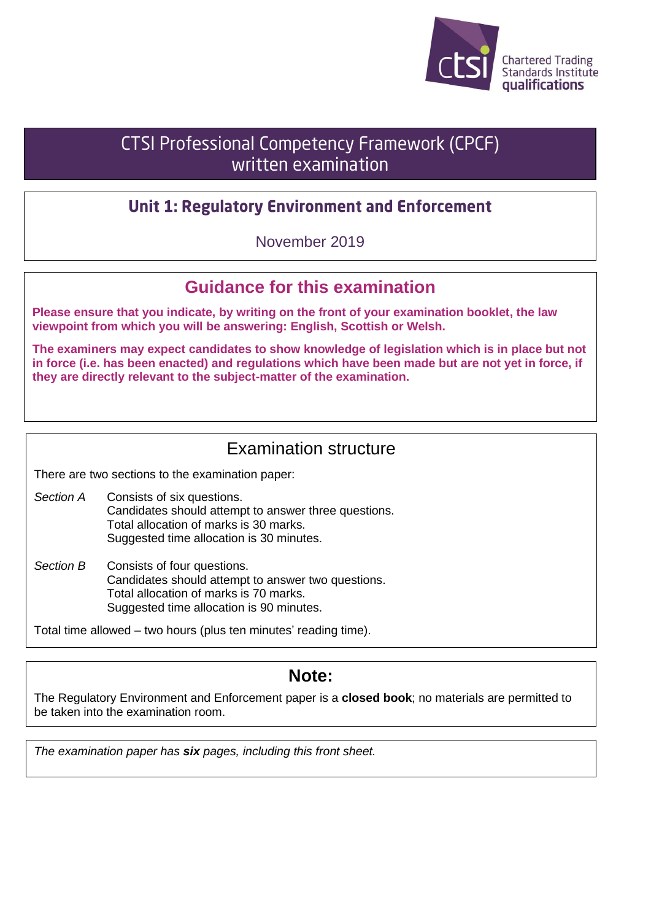

# **CTSI Professional Competency Framework (CPCF)** written examination

## **Unit 1: Regulatory Environment and Enforcement**

November 2019

# **Guidance for this examination**

**Please ensure that you indicate, by writing on the front of your examination booklet, the law viewpoint from which you will be answering: English, Scottish or Welsh.**

**The examiners may expect candidates to show knowledge of legislation which is in place but not in force (i.e. has been enacted) and regulations which have been made but are not yet in force, if they are directly relevant to the subject-matter of the examination.**

## Examination structure

There are two sections to the examination paper:

*Section A* Consists of six questions. Candidates should attempt to answer three questions. Total allocation of marks is 30 marks. Suggested time allocation is 30 minutes.

*Section B* Consists of four questions. Candidates should attempt to answer two questions. Total allocation of marks is 70 marks. Suggested time allocation is 90 minutes.

Total time allowed – two hours (plus ten minutes' reading time).

## **Note:**

The Regulatory Environment and Enforcement paper is a **closed book**; no materials are permitted to be taken into the examination room.

*The examination paper has six pages, including this front sheet.*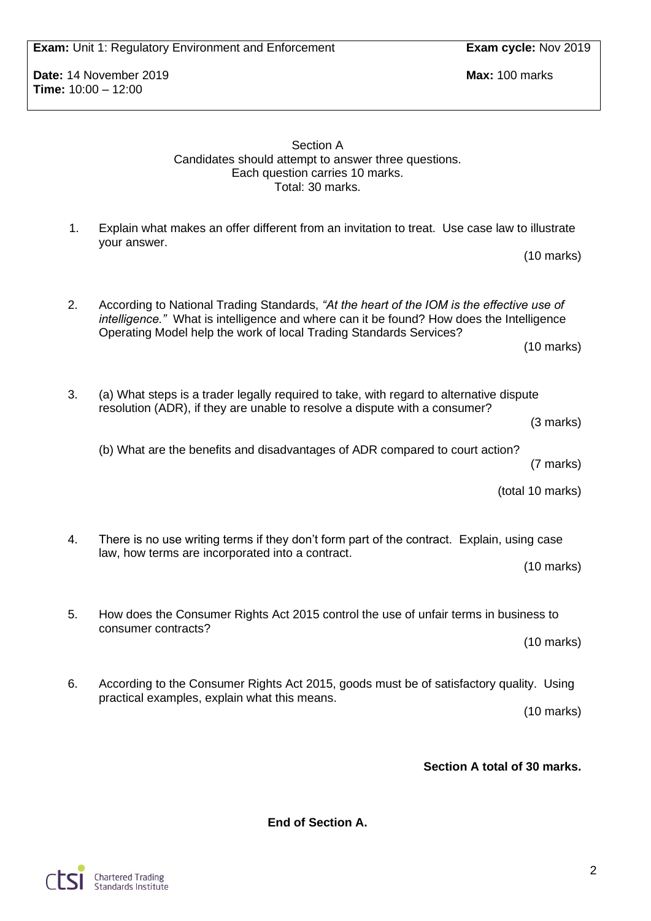**Exam:** Unit 1: Regulatory Environment and Enforcement **Exam cycle:** Nov 2019

**Date:** 14 November 2019 **Max:** 100 marks **Time:** 10:00 – 12:00

> Section A Candidates should attempt to answer three questions. Each question carries 10 marks. Total: 30 marks.

1. Explain what makes an offer different from an invitation to treat. Use case law to illustrate your answer.

2. According to National Trading Standards, *"At the heart of the IOM is the effective use of intelligence."* What is intelligence and where can it be found? How does the Intelligence Operating Model help the work of local Trading Standards Services? (10 marks)

3. (a) What steps is a trader legally required to take, with regard to alternative dispute resolution (ADR), if they are unable to resolve a dispute with a consumer?

(3 marks)

(10 marks)

(b) What are the benefits and disadvantages of ADR compared to court action?

(7 marks)

(total 10 marks)

4. There is no use writing terms if they don't form part of the contract. Explain, using case law, how terms are incorporated into a contract.

(10 marks)

5. How does the Consumer Rights Act 2015 control the use of unfair terms in business to consumer contracts?

(10 marks)

6. According to the Consumer Rights Act 2015, goods must be of satisfactory quality. Using practical examples, explain what this means.

(10 marks)

**Section A total of 30 marks.**

**End of Section A.**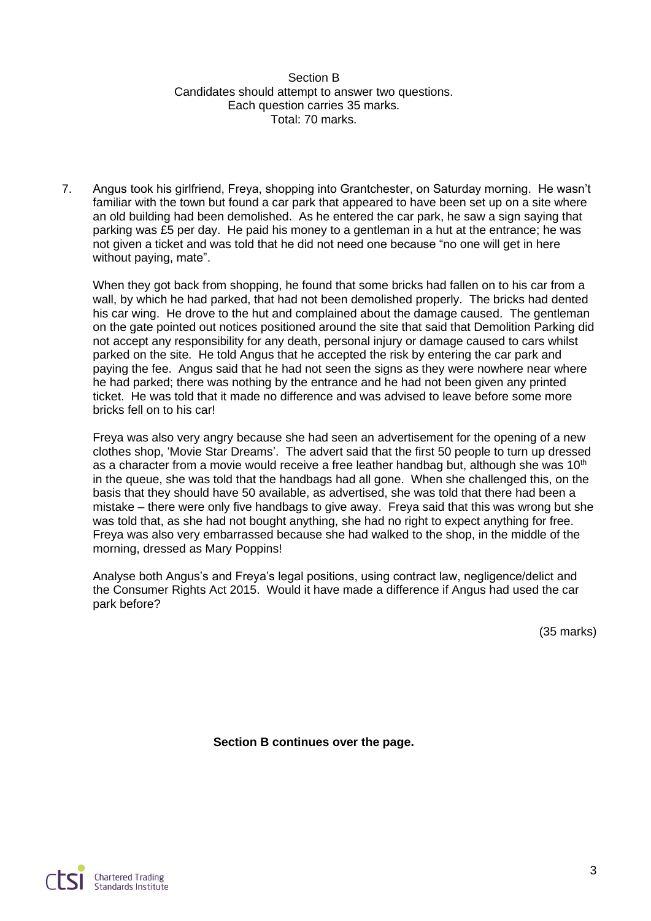Section B Candidates should attempt to answer two questions. Each question carries 35 marks. Total: 70 marks.

7. Angus took his girlfriend, Freya, shopping into Grantchester, on Saturday morning. He wasn't familiar with the town but found a car park that appeared to have been set up on a site where an old building had been demolished. As he entered the car park, he saw a sign saying that parking was £5 per day. He paid his money to a gentleman in a hut at the entrance; he was not given a ticket and was told that he did not need one because "no one will get in here without paying, mate".

When they got back from shopping, he found that some bricks had fallen on to his car from a wall, by which he had parked, that had not been demolished properly. The bricks had dented his car wing. He drove to the hut and complained about the damage caused. The gentleman on the gate pointed out notices positioned around the site that said that Demolition Parking did not accept any responsibility for any death, personal injury or damage caused to cars whilst parked on the site. He told Angus that he accepted the risk by entering the car park and paying the fee. Angus said that he had not seen the signs as they were nowhere near where he had parked; there was nothing by the entrance and he had not been given any printed ticket. He was told that it made no difference and was advised to leave before some more bricks fell on to his car!

Freya was also very angry because she had seen an advertisement for the opening of a new clothes shop, 'Movie Star Dreams'. The advert said that the first 50 people to turn up dressed as a character from a movie would receive a free leather handbag but, although she was  $10<sup>th</sup>$ in the queue, she was told that the handbags had all gone. When she challenged this, on the basis that they should have 50 available, as advertised, she was told that there had been a mistake – there were only five handbags to give away. Freya said that this was wrong but she was told that, as she had not bought anything, she had no right to expect anything for free. Freya was also very embarrassed because she had walked to the shop, in the middle of the morning, dressed as Mary Poppins!

Analyse both Angus's and Freya's legal positions, using contract law, negligence/delict and the Consumer Rights Act 2015. Would it have made a difference if Angus had used the car park before?

(35 marks)

**Section B continues over the page.**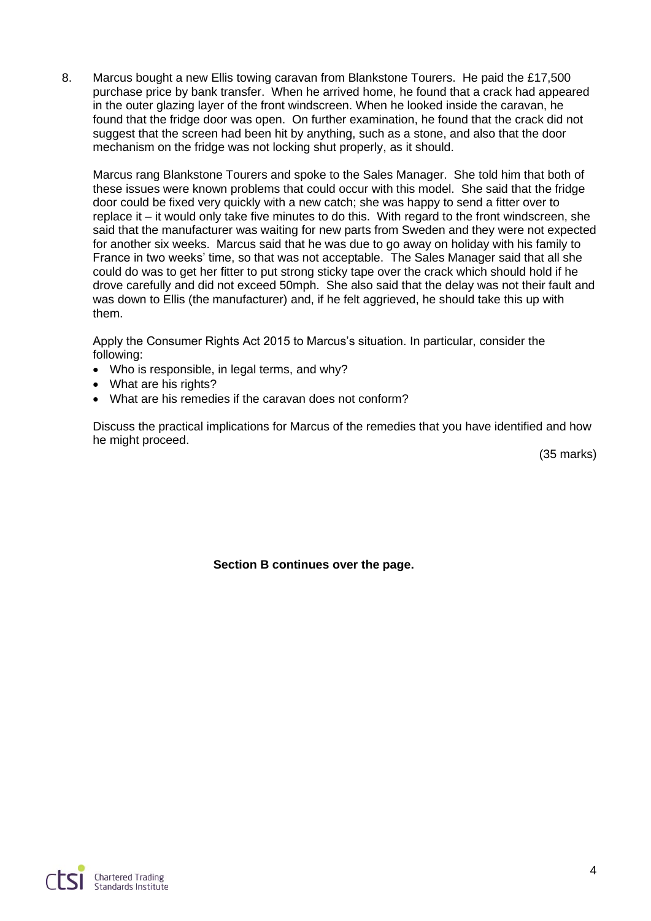8. Marcus bought a new Ellis towing caravan from Blankstone Tourers. He paid the £17,500 purchase price by bank transfer. When he arrived home, he found that a crack had appeared in the outer glazing layer of the front windscreen. When he looked inside the caravan, he found that the fridge door was open. On further examination, he found that the crack did not suggest that the screen had been hit by anything, such as a stone, and also that the door mechanism on the fridge was not locking shut properly, as it should.

Marcus rang Blankstone Tourers and spoke to the Sales Manager. She told him that both of these issues were known problems that could occur with this model. She said that the fridge door could be fixed very quickly with a new catch; she was happy to send a fitter over to replace it – it would only take five minutes to do this. With regard to the front windscreen, she said that the manufacturer was waiting for new parts from Sweden and they were not expected for another six weeks. Marcus said that he was due to go away on holiday with his family to France in two weeks' time, so that was not acceptable. The Sales Manager said that all she could do was to get her fitter to put strong sticky tape over the crack which should hold if he drove carefully and did not exceed 50mph. She also said that the delay was not their fault and was down to Ellis (the manufacturer) and, if he felt aggrieved, he should take this up with them.

Apply the Consumer Rights Act 2015 to Marcus's situation. In particular, consider the following:

- Who is responsible, in legal terms, and why?
- What are his rights?
- What are his remedies if the caravan does not conform?

Discuss the practical implications for Marcus of the remedies that you have identified and how he might proceed.

(35 marks)

**Section B continues over the page.**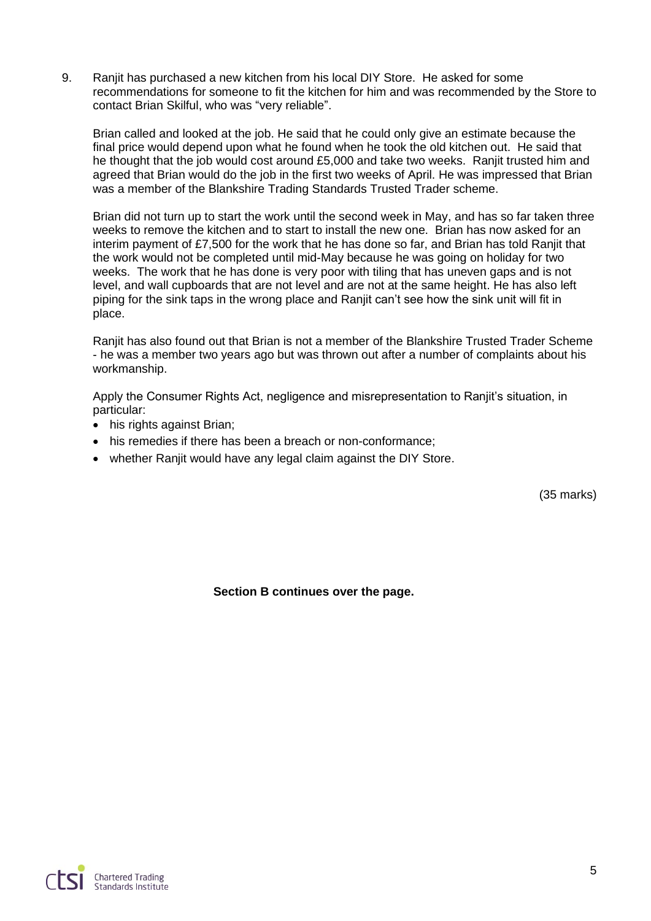9. Ranjit has purchased a new kitchen from his local DIY Store. He asked for some recommendations for someone to fit the kitchen for him and was recommended by the Store to contact Brian Skilful, who was "very reliable".

Brian called and looked at the job. He said that he could only give an estimate because the final price would depend upon what he found when he took the old kitchen out. He said that he thought that the job would cost around £5,000 and take two weeks. Ranjit trusted him and agreed that Brian would do the job in the first two weeks of April. He was impressed that Brian was a member of the Blankshire Trading Standards Trusted Trader scheme.

Brian did not turn up to start the work until the second week in May, and has so far taken three weeks to remove the kitchen and to start to install the new one. Brian has now asked for an interim payment of £7,500 for the work that he has done so far, and Brian has told Ranjit that the work would not be completed until mid-May because he was going on holiday for two weeks. The work that he has done is very poor with tiling that has uneven gaps and is not level, and wall cupboards that are not level and are not at the same height. He has also left piping for the sink taps in the wrong place and Ranjit can't see how the sink unit will fit in place.

Ranjit has also found out that Brian is not a member of the Blankshire Trusted Trader Scheme - he was a member two years ago but was thrown out after a number of complaints about his workmanship.

Apply the Consumer Rights Act, negligence and misrepresentation to Ranjit's situation, in particular:

- his rights against Brian;
- his remedies if there has been a breach or non-conformance:
- whether Ranjit would have any legal claim against the DIY Store.

(35 marks)

**Section B continues over the page.**